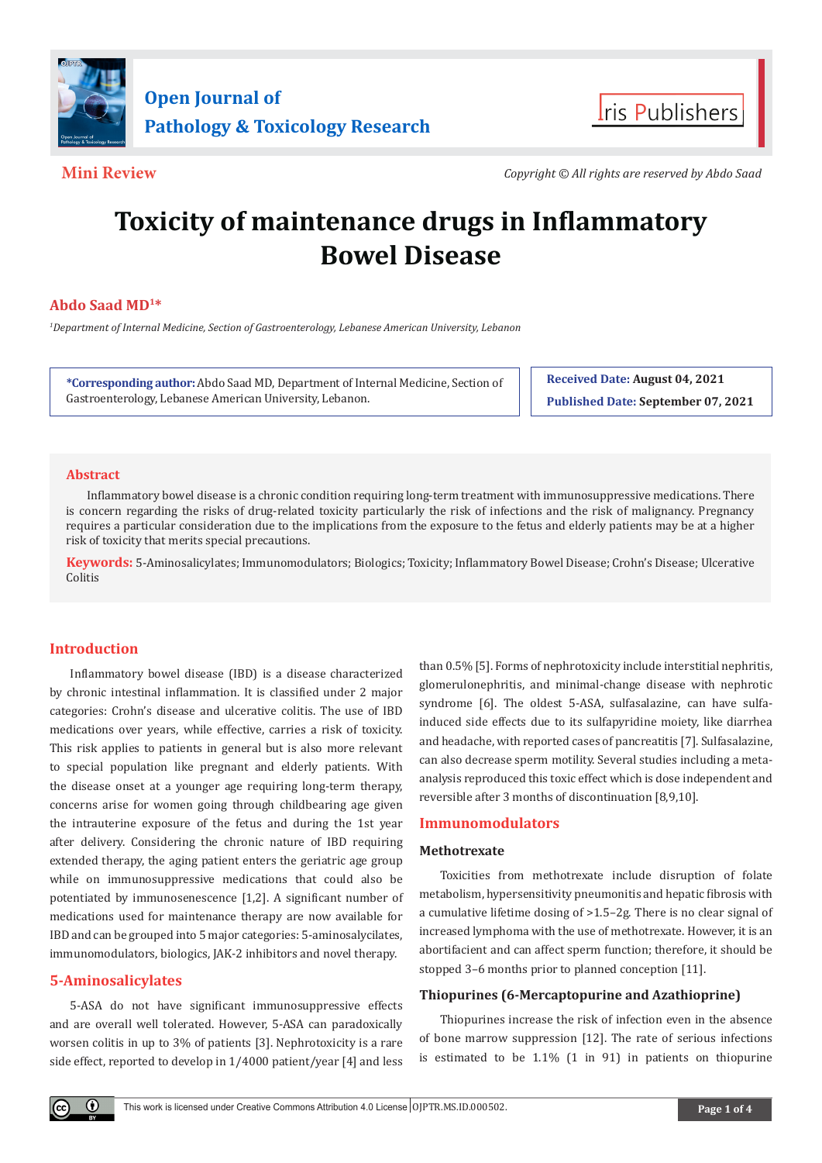



**Mini Review** *Copyright © All rights are reserved by Abdo Saad*

# **Toxicity of maintenance drugs in Inflammatory Bowel Disease**

# **Abdo Saad MD1\***

*1 Department of Internal Medicine, Section of Gastroenterology, Lebanese American University, Lebanon*

**\*Corresponding author:** Abdo Saad MD, Department of Internal Medicine, Section of Gastroenterology, Lebanese American University, Lebanon.

**Received Date: August 04, 2021 Published Date: September 07, 2021**

# **Abstract**

Inflammatory bowel disease is a chronic condition requiring long-term treatment with immunosuppressive medications. There is concern regarding the risks of drug-related toxicity particularly the risk of infections and the risk of malignancy. Pregnancy requires a particular consideration due to the implications from the exposure to the fetus and elderly patients may be at a higher risk of toxicity that merits special precautions.

**Keywords:** 5-Aminosalicylates; Immunomodulators; Biologics; Toxicity; Inflammatory Bowel Disease; Crohn's Disease; Ulcerative Colitis

# **Introduction**

Inflammatory bowel disease (IBD) is a disease characterized by chronic intestinal inflammation. It is classified under 2 major categories: Crohn's disease and ulcerative colitis. The use of IBD medications over years, while effective, carries a risk of toxicity. This risk applies to patients in general but is also more relevant to special population like pregnant and elderly patients. With the disease onset at a younger age requiring long-term therapy, concerns arise for women going through childbearing age given the intrauterine exposure of the fetus and during the 1st year after delivery. Considering the chronic nature of IBD requiring extended therapy, the aging patient enters the geriatric age group while on immunosuppressive medications that could also be potentiated by immunosenescence [1,2]. A significant number of medications used for maintenance therapy are now available for IBD and can be grouped into 5 major categories: 5-aminosalycilates, immunomodulators, biologics, JAK-2 inhibitors and novel therapy.

# **5-Aminosalicylates**

 $\left( \cdot \right)$ 

5-ASA do not have significant immunosuppressive effects and are overall well tolerated. However, 5-ASA can paradoxically worsen colitis in up to 3% of patients [3]. Nephrotoxicity is a rare side effect, reported to develop in 1/4000 patient/year [4] and less

than 0.5% [5]. Forms of nephrotoxicity include interstitial nephritis, glomerulonephritis, and minimal-change disease with nephrotic syndrome [6]. The oldest 5-ASA, sulfasalazine, can have sulfainduced side effects due to its sulfapyridine moiety, like diarrhea and headache, with reported cases of pancreatitis [7]. Sulfasalazine, can also decrease sperm motility. Several studies including a metaanalysis reproduced this toxic effect which is dose independent and reversible after 3 months of discontinuation [8,9,10].

# **Immunomodulators**

# **Methotrexate**

Toxicities from methotrexate include disruption of folate metabolism, hypersensitivity pneumonitis and hepatic fibrosis with a cumulative lifetime dosing of >1.5–2g. There is no clear signal of increased lymphoma with the use of methotrexate. However, it is an abortifacient and can affect sperm function; therefore, it should be stopped 3–6 months prior to planned conception [11].

# **Thiopurines (6-Mercaptopurine and Azathioprine)**

Thiopurines increase the risk of infection even in the absence of bone marrow suppression [12]. The rate of serious infections is estimated to be 1.1% (1 in 91) in patients on thiopurine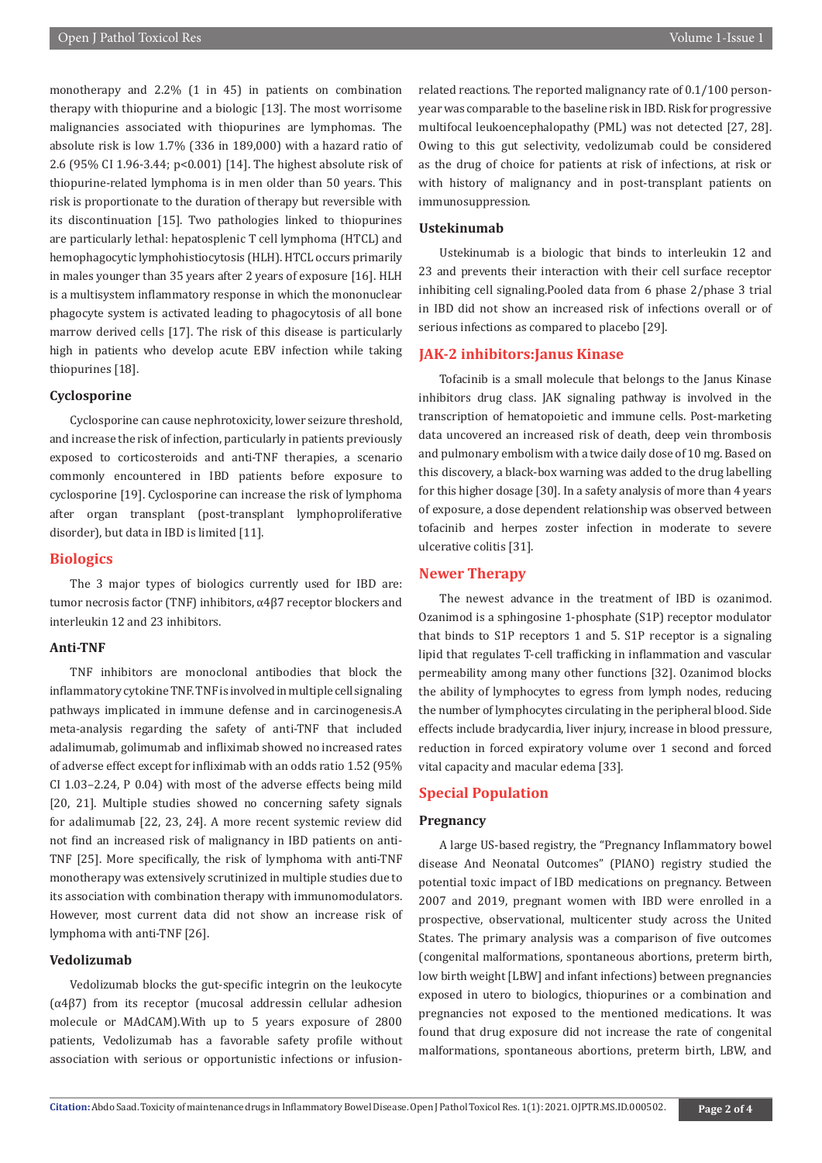monotherapy and 2.2% (1 in 45) in patients on combination therapy with thiopurine and a biologic [13]. The most worrisome malignancies associated with thiopurines are lymphomas. The absolute risk is low 1.7% (336 in 189,000) with a hazard ratio of 2.6 (95% CI 1.96-3.44; p<0.001) [14]. The highest absolute risk of thiopurine-related lymphoma is in men older than 50 years. This risk is proportionate to the duration of therapy but reversible with its discontinuation [15]. Two pathologies linked to thiopurines are particularly lethal: hepatosplenic T cell lymphoma (HTCL) and hemophagocytic lymphohistiocytosis (HLH). HTCL occurs primarily in males younger than 35 years after 2 years of exposure [16]. HLH is a multisystem inflammatory response in which the mononuclear phagocyte system is activated leading to phagocytosis of all bone marrow derived cells [17]. The risk of this disease is particularly high in patients who develop acute EBV infection while taking thiopurines [18].

#### **Cyclosporine**

Cyclosporine can cause nephrotoxicity, lower seizure threshold, and increase the risk of infection, particularly in patients previously exposed to corticosteroids and anti-TNF therapies, a scenario commonly encountered in IBD patients before exposure to cyclosporine [19]. Cyclosporine can increase the risk of lymphoma after organ transplant (post-transplant lymphoproliferative disorder), but data in IBD is limited [11].

#### **Biologics**

The 3 major types of biologics currently used for IBD are: tumor necrosis factor (TNF) inhibitors, α4β7 receptor blockers and interleukin 12 and 23 inhibitors.

# **Anti-TNF**

TNF inhibitors are monoclonal antibodies that block the inflammatory cytokine TNF. TNF is involved in multiple cell signaling pathways implicated in immune defense and in carcinogenesis.A meta-analysis regarding the safety of anti-TNF that included adalimumab, golimumab and infliximab showed no increased rates of adverse effect except for infliximab with an odds ratio 1.52 (95% CI 1.03–2.24, P 0.04) with most of the adverse effects being mild [20, 21]. Multiple studies showed no concerning safety signals for adalimumab [22, 23, 24]. A more recent systemic review did not find an increased risk of malignancy in IBD patients on anti-TNF [25]. More specifically, the risk of lymphoma with anti-TNF monotherapy was extensively scrutinized in multiple studies due to its association with combination therapy with immunomodulators. However, most current data did not show an increase risk of lymphoma with anti-TNF [26].

#### **Vedolizumab**

Vedolizumab blocks the gut-specific integrin on the leukocyte (α4β7) from its receptor (mucosal addressin cellular adhesion molecule or MAdCAM).With up to 5 years exposure of 2800 patients, Vedolizumab has a favorable safety profile without association with serious or opportunistic infections or infusionrelated reactions. The reported malignancy rate of 0.1/100 personyear was comparable to the baseline risk in IBD. Risk for progressive multifocal leukoencephalopathy (PML) was not detected [27, 28]. Owing to this gut selectivity, vedolizumab could be considered as the drug of choice for patients at risk of infections, at risk or with history of malignancy and in post-transplant patients on immunosuppression.

#### **Ustekinumab**

Ustekinumab is a biologic that binds to interleukin 12 and 23 and prevents their interaction with their cell surface receptor inhibiting cell signaling.Pooled data from 6 phase 2/phase 3 trial in IBD did not show an increased risk of infections overall or of serious infections as compared to placebo [29].

#### **JAK-2 inhibitors:Janus Kinase**

Tofacinib is a small molecule that belongs to the Janus Kinase inhibitors drug class. JAK signaling pathway is involved in the transcription of hematopoietic and immune cells. Post-marketing data uncovered an increased risk of death, deep vein thrombosis and pulmonary embolism with a twice daily dose of 10 mg. Based on this discovery, a black-box warning was added to the drug labelling for this higher dosage [30]. In a safety analysis of more than 4 years of exposure, a dose dependent relationship was observed between tofacinib and herpes zoster infection in moderate to severe ulcerative colitis [31].

### **Newer Therapy**

The newest advance in the treatment of IBD is ozanimod. Ozanimod is a sphingosine 1-phosphate (S1P) receptor modulator that binds to S1P receptors 1 and 5. S1P receptor is a signaling lipid that regulates T-cell trafficking in inflammation and vascular permeability among many other functions [32]. Ozanimod blocks the ability of lymphocytes to egress from lymph nodes, reducing the number of lymphocytes circulating in the peripheral blood. Side effects include bradycardia, liver injury, increase in blood pressure, reduction in forced expiratory volume over 1 second and forced vital capacity and macular edema [33].

# **Special Population**

## **Pregnancy**

A large US-based registry, the "Pregnancy Inflammatory bowel disease And Neonatal Outcomes" (PIANO) registry studied the potential toxic impact of IBD medications on pregnancy. Between 2007 and 2019, pregnant women with IBD were enrolled in a prospective, observational, multicenter study across the United States. The primary analysis was a comparison of five outcomes (congenital malformations, spontaneous abortions, preterm birth, low birth weight [LBW] and infant infections) between pregnancies exposed in utero to biologics, thiopurines or a combination and pregnancies not exposed to the mentioned medications. It was found that drug exposure did not increase the rate of congenital malformations, spontaneous abortions, preterm birth, LBW, and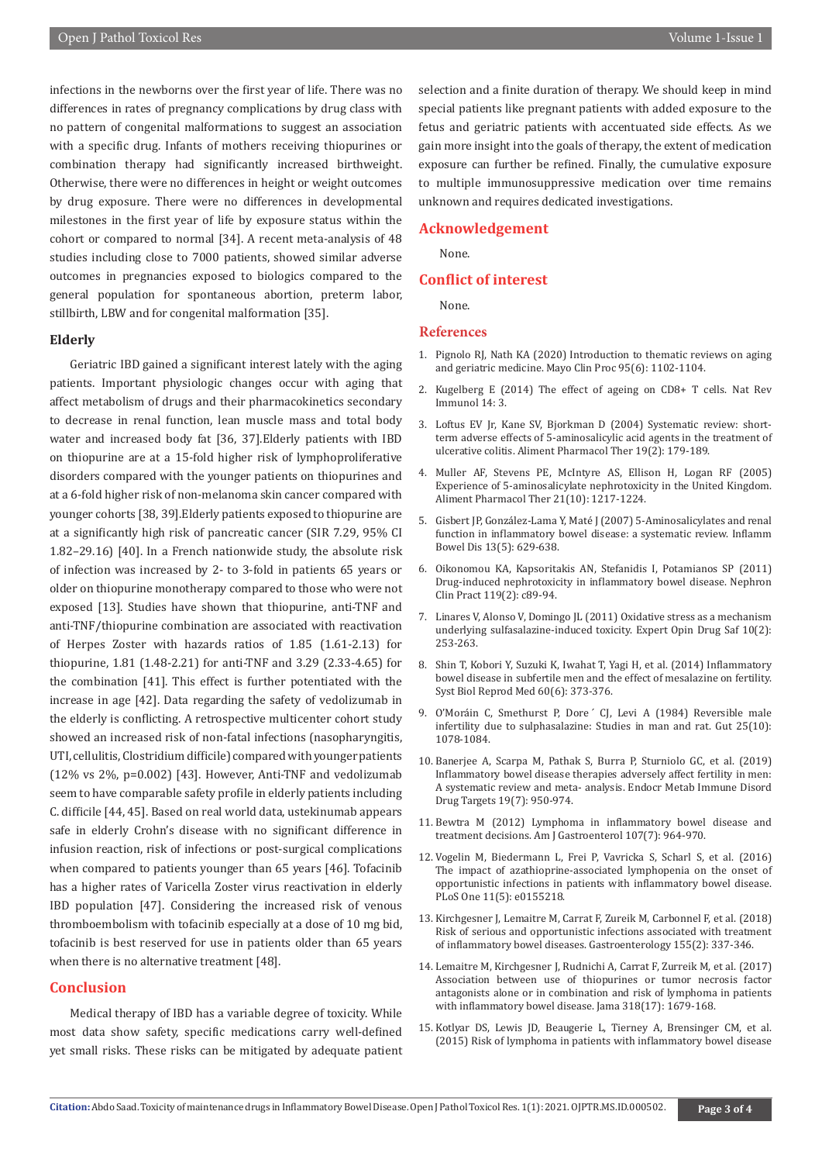infections in the newborns over the first year of life. There was no differences in rates of pregnancy complications by drug class with no pattern of congenital malformations to suggest an association with a specific drug. Infants of mothers receiving thiopurines or combination therapy had significantly increased birthweight. Otherwise, there were no differences in height or weight outcomes by drug exposure. There were no differences in developmental milestones in the first year of life by exposure status within the cohort or compared to normal [34]. A recent meta-analysis of 48 studies including close to 7000 patients, showed similar adverse outcomes in pregnancies exposed to biologics compared to the general population for spontaneous abortion, preterm labor, stillbirth, LBW and for congenital malformation [35].

#### **Elderly**

Geriatric IBD gained a significant interest lately with the aging patients. Important physiologic changes occur with aging that affect metabolism of drugs and their pharmacokinetics secondary to decrease in renal function, lean muscle mass and total body water and increased body fat [36, 37].Elderly patients with IBD on thiopurine are at a 15-fold higher risk of lymphoproliferative disorders compared with the younger patients on thiopurines and at a 6-fold higher risk of non-melanoma skin cancer compared with younger cohorts [38, 39].Elderly patients exposed to thiopurine are at a significantly high risk of pancreatic cancer (SIR 7.29, 95% CI 1.82–29.16) [40]. In a French nationwide study, the absolute risk of infection was increased by 2- to 3-fold in patients 65 years or older on thiopurine monotherapy compared to those who were not exposed [13]. Studies have shown that thiopurine, anti-TNF and anti-TNF/thiopurine combination are associated with reactivation of Herpes Zoster with hazards ratios of 1.85 (1.61-2.13) for thiopurine, 1.81 (1.48-2.21) for anti-TNF and 3.29 (2.33-4.65) for the combination [41]. This effect is further potentiated with the increase in age [42]. Data regarding the safety of vedolizumab in the elderly is conflicting. A retrospective multicenter cohort study showed an increased risk of non-fatal infections (nasopharyngitis, UTI, cellulitis, Clostridium difficile) compared with younger patients (12% vs 2%, p=0.002) [43]. However, Anti-TNF and vedolizumab seem to have comparable safety profile in elderly patients including C. difficile [44, 45]. Based on real world data, ustekinumab appears safe in elderly Crohn's disease with no significant difference in infusion reaction, risk of infections or post-surgical complications when compared to patients younger than 65 years [46]. Tofacinib has a higher rates of Varicella Zoster virus reactivation in elderly IBD population [47]. Considering the increased risk of venous thromboembolism with tofacinib especially at a dose of 10 mg bid, tofacinib is best reserved for use in patients older than 65 years when there is no alternative treatment [48].

#### **Conclusion**

Medical therapy of IBD has a variable degree of toxicity. While most data show safety, specific medications carry well-defined yet small risks. These risks can be mitigated by adequate patient selection and a finite duration of therapy. We should keep in mind special patients like pregnant patients with added exposure to the fetus and geriatric patients with accentuated side effects. As we gain more insight into the goals of therapy, the extent of medication exposure can further be refined. Finally, the cumulative exposure to multiple immunosuppressive medication over time remains unknown and requires dedicated investigations.

#### **Acknowledgement**

None.

#### **Conflict of interest**

None.

#### **References**

- 1. [Pignolo RJ, Nath KA \(2020\) Introduction to thematic reviews on aging](https://pubmed.ncbi.nlm.nih.gov/32498769/) [and geriatric medicine. Mayo Clin Proc 95\(6\): 1102-1104.](https://pubmed.ncbi.nlm.nih.gov/32498769/)
- 2. Kugelberg E (2014) The effect of ageing on CD8+ T cells. Nat Rev Immunol 14: 3.
- 3. [Loftus EV Jr, Kane SV, Bjorkman D \(2004\) Systematic review: short](https://pubmed.ncbi.nlm.nih.gov/14723609/)[term adverse effects of 5-aminosalicylic acid agents in the treatment of](https://pubmed.ncbi.nlm.nih.gov/14723609/) [ulcerative colitis. Aliment Pharmacol Ther 19\(2\): 179-189.](https://pubmed.ncbi.nlm.nih.gov/14723609/)
- 4. [Muller AF, Stevens PE, McIntyre AS, Ellison H, Logan RF \(2005\)](https://pubmed.ncbi.nlm.nih.gov/15882242/) [Experience of 5-aminosalicylate nephrotoxicity in the United Kingdom.](https://pubmed.ncbi.nlm.nih.gov/15882242/) [Aliment Pharmacol Ther 21\(10\): 1217-1224.](https://pubmed.ncbi.nlm.nih.gov/15882242/)
- 5. [Gisbert JP, González-Lama Y, Maté J \(2007\) 5-Aminosalicylates and renal](https://pubmed.ncbi.nlm.nih.gov/17243140/) [function in inflammatory bowel disease: a systematic review. Inflamm](https://pubmed.ncbi.nlm.nih.gov/17243140/) [Bowel Dis 13\(5\): 629-638.](https://pubmed.ncbi.nlm.nih.gov/17243140/)
- 6. [Oikonomou KA, Kapsoritakis AN, Stefanidis I, Potamianos SP \(2011\)](https://pubmed.ncbi.nlm.nih.gov/21677443/) [Drug-induced nephrotoxicity in inflammatory bowel disease. Nephron](https://pubmed.ncbi.nlm.nih.gov/21677443/) [Clin Pract 119\(2\): c89-94.](https://pubmed.ncbi.nlm.nih.gov/21677443/)
- 7. [Linares V, Alonso V, Domingo JL \(2011\) Oxidative stress as a mechanism](https://pubmed.ncbi.nlm.nih.gov/21219240/) [underlying sulfasalazine-induced toxicity. Expert Opin Drug Saf 10\(2\):](https://pubmed.ncbi.nlm.nih.gov/21219240/) [253-263.](https://pubmed.ncbi.nlm.nih.gov/21219240/)
- 8. [Shin T, Kobori Y, Suzuki K, Iwahat T, Yagi H, et al. \(2014\) Inflammatory](https://pubmed.ncbi.nlm.nih.gov/25144125/) [bowel disease in subfertile men and the effect of mesalazine on fertility.](https://pubmed.ncbi.nlm.nih.gov/25144125/) [Syst Biol Reprod Med 60\(6\): 373-376.](https://pubmed.ncbi.nlm.nih.gov/25144125/)
- 9. [O'Moráin C, Smethurst P, Dore ́ CJ, Levi A \(1984\) Reversible male](https://pubmed.ncbi.nlm.nih.gov/6148293/) [infertility due to sulphasalazine: Studies in man and rat. Gut 25\(10\):](https://pubmed.ncbi.nlm.nih.gov/6148293/) [1078-1084.](https://pubmed.ncbi.nlm.nih.gov/6148293/)
- 10. [Banerjee A, Scarpa M, Pathak S, Burra P, Sturniolo GC, et al. \(2019\)](https://pubmed.ncbi.nlm.nih.gov/30864530/) [Inflammatory bowel disease therapies adversely affect fertility in men:](https://pubmed.ncbi.nlm.nih.gov/30864530/) [A systematic review and meta- analysis. Endocr Metab Immune Disord](https://pubmed.ncbi.nlm.nih.gov/30864530/) [Drug Targets 19\(7\): 950-974.](https://pubmed.ncbi.nlm.nih.gov/30864530/)
- 11. [Bewtra M \(2012\) Lymphoma in inflammatory bowel disease and](https://pubmed.ncbi.nlm.nih.gov/22764018/) [treatment decisions. Am J Gastroenterol 107\(7\): 964-970.](https://pubmed.ncbi.nlm.nih.gov/22764018/)
- 12. [Vogelin M, Biedermann L, Frei P, Vavricka S, Scharl S, et al. \(2016\)](https://pubmed.ncbi.nlm.nih.gov/27214202/) [The impact of azathioprine-associated lymphopenia on the onset of](https://pubmed.ncbi.nlm.nih.gov/27214202/) [opportunistic infections in patients with inflammatory bowel disease.](https://pubmed.ncbi.nlm.nih.gov/27214202/) [PLoS One 11\(5\): e0155218.](https://pubmed.ncbi.nlm.nih.gov/27214202/)
- 13. [Kirchgesner J, Lemaitre M, Carrat F, Zureik M, Carbonnel F, et al. \(2018\)](https://pubmed.ncbi.nlm.nih.gov/29655835/) [Risk of serious and opportunistic infections associated with treatment](https://pubmed.ncbi.nlm.nih.gov/29655835/) [of inflammatory bowel diseases. Gastroenterology 155\(2\): 337-346.](https://pubmed.ncbi.nlm.nih.gov/29655835/)
- 14. [Lemaitre M, Kirchgesner J, Rudnichi A, Carrat F, Zurreik M, et al. \(2017\)](https://pubmed.ncbi.nlm.nih.gov/29114832/) [Association between use of thiopurines or tumor necrosis factor](https://pubmed.ncbi.nlm.nih.gov/29114832/) [antagonists alone or in combination and risk of lymphoma in patients](https://pubmed.ncbi.nlm.nih.gov/29114832/) [with inflammatory bowel disease. Jama 318\(17\): 1679-168.](https://pubmed.ncbi.nlm.nih.gov/29114832/)
- 15. [Kotlyar DS, Lewis JD, Beaugerie L, Tierney A, Brensinger CM, et al.](https://pubmed.ncbi.nlm.nih.gov/24879926/) [\(2015\) Risk of lymphoma in patients with inflammatory bowel disease](https://pubmed.ncbi.nlm.nih.gov/24879926/)